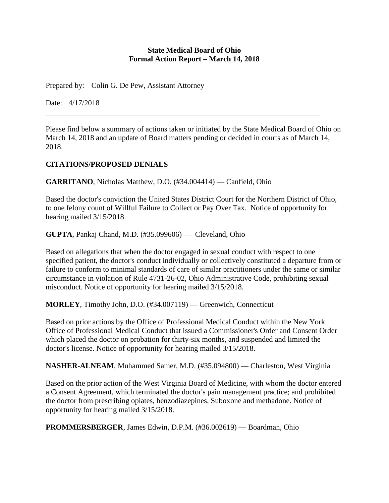#### **State Medical Board of Ohio Formal Action Report – March 14, 2018**

Prepared by: Colin G. De Pew, Assistant Attorney

Date: 4/17/2018

Please find below a summary of actions taken or initiated by the State Medical Board of Ohio on March 14, 2018 and an update of Board matters pending or decided in courts as of March 14, 2018.

# **CITATIONS/PROPOSED DENIALS**

**GARRITANO**, Nicholas Matthew, D.O. (#34.004414) — Canfield, Ohio

Based the doctor's conviction the United States District Court for the Northern District of Ohio, to one felony count of Willful Failure to Collect or Pay Over Tax. Notice of opportunity for hearing mailed 3/15/2018.

**GUPTA**, Pankaj Chand, M.D. (#35.099606) — Cleveland, Ohio

Based on allegations that when the doctor engaged in sexual conduct with respect to one specified patient, the doctor's conduct individually or collectively constituted a departure from or failure to conform to minimal standards of care of similar practitioners under the same or similar circumstance in violation of Rule 4731-26-02, Ohio Administrative Code, prohibiting sexual misconduct. Notice of opportunity for hearing mailed 3/15/2018.

**MORLEY**, Timothy John, D.O. (#34.007119) — Greenwich, Connecticut

Based on prior actions by the Office of Professional Medical Conduct within the New York Office of Professional Medical Conduct that issued a Commissioner's Order and Consent Order which placed the doctor on probation for thirty-six months, and suspended and limited the doctor's license. Notice of opportunity for hearing mailed 3/15/2018.

**NASHER-ALNEAM**, Muhammed Samer, M.D. (#35.094800) — Charleston, West Virginia

Based on the prior action of the West Virginia Board of Medicine, with whom the doctor entered a Consent Agreement, which terminated the doctor's pain management practice; and prohibited the doctor from prescribing opiates, benzodiazepines, Suboxone and methadone. Notice of opportunity for hearing mailed 3/15/2018.

**PROMMERSBERGER**, James Edwin, D.P.M. (#36.002619) — Boardman, Ohio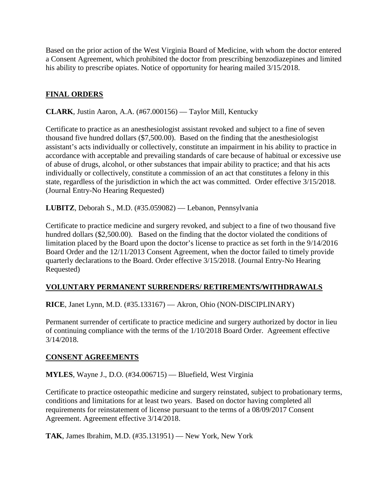Based on the prior action of the West Virginia Board of Medicine, with whom the doctor entered a Consent Agreement, which prohibited the doctor from prescribing benzodiazepines and limited his ability to prescribe opiates. Notice of opportunity for hearing mailed 3/15/2018.

# **FINAL ORDERS**

**CLARK**, Justin Aaron, A.A. (#67.000156) — Taylor Mill, Kentucky

Certificate to practice as an anesthesiologist assistant revoked and subject to a fine of seven thousand five hundred dollars (\$7,500.00). Based on the finding that the anesthesiologist assistant's acts individually or collectively, constitute an impairment in his ability to practice in accordance with acceptable and prevailing standards of care because of habitual or excessive use of abuse of drugs, alcohol, or other substances that impair ability to practice; and that his acts individually or collectively, constitute a commission of an act that constitutes a felony in this state, regardless of the jurisdiction in which the act was committed. Order effective 3/15/2018. (Journal Entry-No Hearing Requested)

**LUBITZ**, Deborah S., M.D. (#35.059082) — Lebanon, Pennsylvania

Certificate to practice medicine and surgery revoked, and subject to a fine of two thousand five hundred dollars (\$2,500.00). Based on the finding that the doctor violated the conditions of limitation placed by the Board upon the doctor's license to practice as set forth in the 9/14/2016 Board Order and the 12/11/2013 Consent Agreement, when the doctor failed to timely provide quarterly declarations to the Board. Order effective 3/15/2018. (Journal Entry-No Hearing Requested)

### **VOLUNTARY PERMANENT SURRENDERS/ RETIREMENTS/WITHDRAWALS**

**RICE**, Janet Lynn, M.D. (#35.133167) — Akron, Ohio (NON-DISCIPLINARY)

Permanent surrender of certificate to practice medicine and surgery authorized by doctor in lieu of continuing compliance with the terms of the 1/10/2018 Board Order. Agreement effective 3/14/2018.

### **CONSENT AGREEMENTS**

**MYLES**, Wayne J., D.O. (#34.006715) — Bluefield, West Virginia

Certificate to practice osteopathic medicine and surgery reinstated, subject to probationary terms, conditions and limitations for at least two years. Based on doctor having completed all requirements for reinstatement of license pursuant to the terms of a 08/09/2017 Consent Agreement. Agreement effective 3/14/2018.

**TAK**, James Ibrahim, M.D. (#35.131951) — New York, New York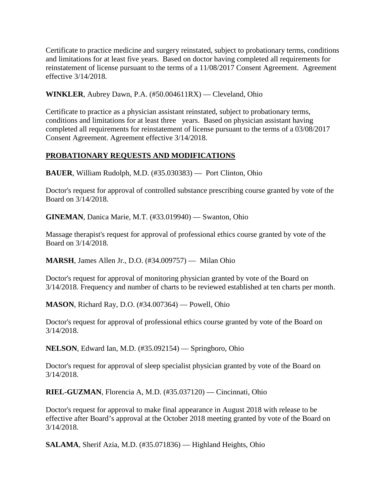Certificate to practice medicine and surgery reinstated, subject to probationary terms, conditions and limitations for at least five years. Based on doctor having completed all requirements for reinstatement of license pursuant to the terms of a 11/08/2017 Consent Agreement. Agreement effective 3/14/2018.

**WINKLER**, Aubrey Dawn, P.A. (#50.004611RX) — Cleveland, Ohio

Certificate to practice as a physician assistant reinstated, subject to probationary terms, conditions and limitations for at least three years. Based on physician assistant having completed all requirements for reinstatement of license pursuant to the terms of a 03/08/2017 Consent Agreement. Agreement effective 3/14/2018.

### **PROBATIONARY REQUESTS AND MODIFICATIONS**

**BAUER**, William Rudolph, M.D. (#35.030383) — Port Clinton, Ohio

Doctor's request for approval of controlled substance prescribing course granted by vote of the Board on 3/14/2018.

**GINEMAN**, Danica Marie, M.T. (#33.019940) — Swanton, Ohio

Massage therapist's request for approval of professional ethics course granted by vote of the Board on 3/14/2018.

**MARSH**, James Allen Jr., D.O. (#34.009757) — Milan Ohio

Doctor's request for approval of monitoring physician granted by vote of the Board on 3/14/2018. Frequency and number of charts to be reviewed established at ten charts per month.

**MASON**, Richard Ray, D.O. (#34.007364) — Powell, Ohio

Doctor's request for approval of professional ethics course granted by vote of the Board on 3/14/2018.

**NELSON**, Edward Ian, M.D. (#35.092154) — Springboro, Ohio

Doctor's request for approval of sleep specialist physician granted by vote of the Board on 3/14/2018.

**RIEL-GUZMAN**, Florencia A, M.D. (#35.037120) — Cincinnati, Ohio

Doctor's request for approval to make final appearance in August 2018 with release to be effective after Board's approval at the October 2018 meeting granted by vote of the Board on 3/14/2018.

**SALAMA**, Sherif Azia, M.D. (#35.071836) — Highland Heights, Ohio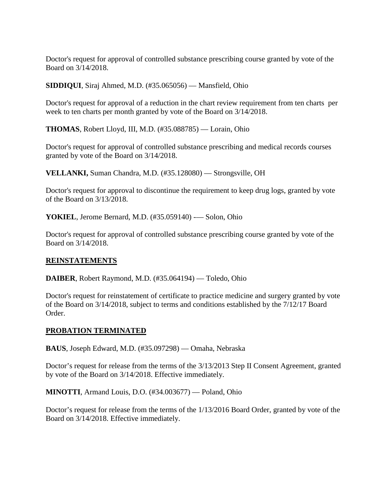Doctor's request for approval of controlled substance prescribing course granted by vote of the Board on 3/14/2018.

**SIDDIQUI**, Siraj Ahmed, M.D. (#35.065056) — Mansfield, Ohio

Doctor's request for approval of a reduction in the chart review requirement from ten charts per week to ten charts per month granted by vote of the Board on 3/14/2018.

**THOMAS**, Robert Lloyd, III, M.D. (#35.088785) — Lorain, Ohio

Doctor's request for approval of controlled substance prescribing and medical records courses granted by vote of the Board on 3/14/2018.

**VELLANKI,** Suman Chandra, M.D. (#35.128080) — Strongsville, OH

Doctor's request for approval to discontinue the requirement to keep drug logs, granted by vote of the Board on 3/13/2018.

**YOKIEL**, Jerome Bernard, M.D. (#35.059140) -— Solon, Ohio

Doctor's request for approval of controlled substance prescribing course granted by vote of the Board on 3/14/2018.

### **REINSTATEMENTS**

**DAIBER**, Robert Raymond, M.D. (#35.064194) — Toledo, Ohio

Doctor's request for reinstatement of certificate to practice medicine and surgery granted by vote of the Board on 3/14/2018, subject to terms and conditions established by the 7/12/17 Board Order.

#### **PROBATION TERMINATED**

**BAUS**, Joseph Edward, M.D. (#35.097298) — Omaha, Nebraska

Doctor's request for release from the terms of the 3/13/2013 Step II Consent Agreement, granted by vote of the Board on 3/14/2018. Effective immediately.

**MINOTTI**, Armand Louis, D.O. (#34.003677) — Poland, Ohio

Doctor's request for release from the terms of the 1/13/2016 Board Order, granted by vote of the Board on 3/14/2018. Effective immediately.